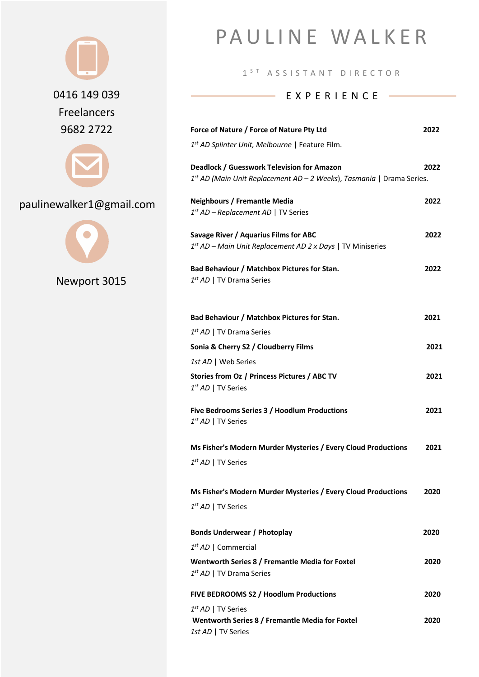

paulinewalker1@gmail.com



Newport 3015

# PAULINE WALKER

1<sup>ST</sup> ASSISTANT DIRECTOR

#### EXPERIENCE ——

| Force of Nature / Force of Nature Pty Ltd                                                                             | 2022 |
|-----------------------------------------------------------------------------------------------------------------------|------|
| 1 <sup>st</sup> AD Splinter Unit, Melbourne   Feature Film.                                                           |      |
| Deadlock / Guesswork Television for Amazon<br>$1st$ AD (Main Unit Replacement AD – 2 Weeks), Tasmania   Drama Series. | 2022 |
| <b>Neighbours / Fremantle Media</b><br>$1^{st}$ AD – Replacement AD   TV Series                                       | 2022 |
| Savage River / Aquarius Films for ABC<br>$1^{st}$ AD – Main Unit Replacement AD 2 x Days   TV Miniseries              | 2022 |
| Bad Behaviour / Matchbox Pictures for Stan.<br>$1^{st}$ AD   TV Drama Series                                          | 2022 |
| Bad Behaviour / Matchbox Pictures for Stan.                                                                           | 2021 |
| $1^{st}$ AD   TV Drama Series                                                                                         |      |
| Sonia & Cherry S2 / Cloudberry Films                                                                                  | 2021 |
| 1st AD   Web Series<br>Stories from Oz / Princess Pictures / ABC TV<br>$1^{st}$ AD   TV Series                        | 2021 |
| Five Bedrooms Series 3 / Hoodlum Productions<br>$1^{st}$ AD   TV Series                                               | 2021 |
| Ms Fisher's Modern Murder Mysteries / Every Cloud Productions<br>$1^{st}$ AD   TV Series                              | 2021 |
| Ms Fisher's Modern Murder Mysteries / Every Cloud Productions<br>$1^{st}$ AD   TV Series                              | 2020 |
| <b>Bonds Underwear / Photoplay</b>                                                                                    | 2020 |
| $1^{st}$ AD   Commercial                                                                                              |      |
| Wentworth Series 8 / Fremantle Media for Foxtel<br>$1^{st}$ AD   TV Drama Series                                      | 2020 |
| FIVE BEDROOMS S2 / Hoodlum Productions                                                                                | 2020 |
| $1^{st}$ AD   TV Series<br>Wentworth Series 8 / Fremantle Media for Foxtel<br>1st AD   TV Series                      | 2020 |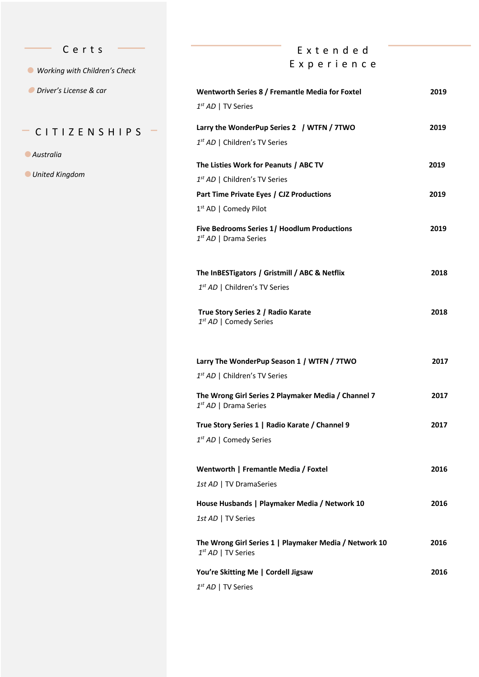- C erts
- *Working with Children's Check*
- *Driver's License & car*

#### $-$  CITIZENSHIPS  $-$

- *Australia*
- *United Kingdom*

## Extended Experience

| Wentworth Series 8 / Fremantle Media for Foxtel<br>$1^{st}$ AD   TV Series        | 2019 |
|-----------------------------------------------------------------------------------|------|
| Larry the WonderPup Series 2 / WTFN / 7TWO<br>$1^{st}$ AD   Children's TV Series  | 2019 |
| The Listies Work for Peanuts / ABC TV                                             | 2019 |
| 1 <sup>st</sup> AD   Children's TV Series                                         |      |
| Part Time Private Eyes / CJZ Productions                                          | 2019 |
| $1st$ AD   Comedy Pilot                                                           |      |
| Five Bedrooms Series 1/ Hoodlum Productions<br>$1^{st}$ AD   Drama Series         | 2019 |
| The InBESTigators / Gristmill / ABC & Netflix                                     | 2018 |
| $1^{st}$ AD   Children's TV Series                                                |      |
| True Story Series 2 / Radio Karate<br>$1^{st}$ AD   Comedy Series                 | 2018 |
| Larry The WonderPup Season 1 / WTFN / 7TWO                                        | 2017 |
| $1^{st}$ AD   Children's TV Series                                                |      |
| The Wrong Girl Series 2 Playmaker Media / Channel 7<br>$1^{st}$ AD   Drama Series | 2017 |
| True Story Series 1   Radio Karate / Channel 9                                    | 2017 |
| $1^{st}$ AD   Comedy Series                                                       |      |
| Wentworth   Fremantle Media / Foxtel                                              | 2016 |
| 1st AD   TV DramaSeries                                                           |      |
| House Husbands   Playmaker Media / Network 10                                     | 2016 |
| 1st AD   TV Series                                                                |      |
| The Wrong Girl Series 1   Playmaker Media / Network 10<br>$1^{st}$ AD   TV Series | 2016 |
| You're Skitting Me   Cordell Jigsaw                                               | 2016 |
| $1^{st}$ AD   TV Series                                                           |      |